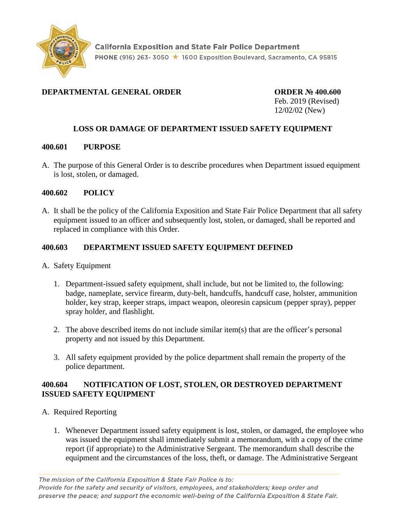

# **DEPARTMENTAL GENERAL ORDER ORDER № 400.600**

Feb. 2019 (Revised) 12/02/02 (New)

# **LOSS OR DAMAGE OF DEPARTMENT ISSUED SAFETY EQUIPMENT**

#### **400.601 PURPOSE**

A. The purpose of this General Order is to describe procedures when Department issued equipment is lost, stolen, or damaged.

#### **400.602 POLICY**

A. It shall be the policy of the California Exposition and State Fair Police Department that all safety equipment issued to an officer and subsequently lost, stolen, or damaged, shall be reported and replaced in compliance with this Order.

### **400.603 DEPARTMENT ISSUED SAFETY EQUIPMENT DEFINED**

- A. Safety Equipment
	- 1. Department-issued safety equipment, shall include, but not be limited to, the following: badge, nameplate, service firearm, duty-belt, handcuffs, handcuff case, holster, ammunition holder, key strap, keeper straps, impact weapon, oleoresin capsicum (pepper spray), pepper spray holder, and flashlight.
	- 2. The above described items do not include similar item(s) that are the officer's personal property and not issued by this Department.
	- 3. All safety equipment provided by the police department shall remain the property of the police department.

#### **400.604 NOTIFICATION OF LOST, STOLEN, OR DESTROYED DEPARTMENT ISSUED SAFETY EQUIPMENT**

- A. Required Reporting
	- 1. Whenever Department issued safety equipment is lost, stolen, or damaged, the employee who was issued the equipment shall immediately submit a memorandum, with a copy of the crime report (if appropriate) to the Administrative Sergeant. The memorandum shall describe the equipment and the circumstances of the loss, theft, or damage. The Administrative Sergeant